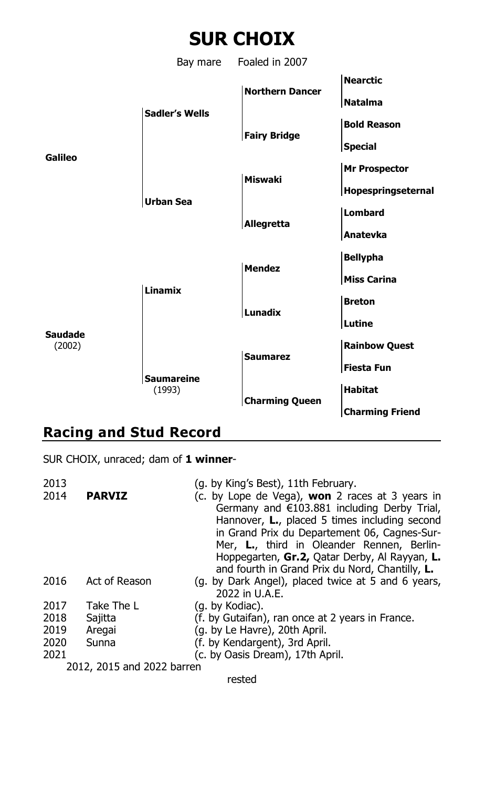# **SUR CHOIX**

Bay mare Foaled in 2007 **Nearctic Northern Dancer Natalma Sadler's Wells Bold Reason Fairy Bridge Special Galileo Mr Prospector Miswaki Hopespringseternal Urban Sea Lombard Allegretta Anatevka Bellypha Mendez Miss Carina Linamix Breton Lunadix Lutine Saudade** (2002) **Rainbow Quest Saumarez Fiesta Fun Saumareine** (1993) **Habitat Charming Queen Charming Friend**

# **Racing and Stud Record**

SUR CHOIX, unraced; dam of **1 winner**-

| 2013                       |               | (g. by King's Best), 11th February.                                                                                                                                                                                                                                                                                                                           |
|----------------------------|---------------|---------------------------------------------------------------------------------------------------------------------------------------------------------------------------------------------------------------------------------------------------------------------------------------------------------------------------------------------------------------|
| 2014                       | <b>PARVIZ</b> | (c. by Lope de Vega), <b>won</b> 2 races at 3 years in<br>Germany and $\in$ 103.881 including Derby Trial,<br>Hannover, L., placed 5 times including second<br>in Grand Prix du Departement 06, Cagnes-Sur-<br>Mer, L., third in Oleander Rennen, Berlin-<br>Hoppegarten, Gr.2, Oatar Derby, Al Rayyan, L.<br>and fourth in Grand Prix du Nord, Chantilly, L. |
| 2016                       | Act of Reason | (g. by Dark Angel), placed twice at 5 and 6 years,<br>2022 in U.A.E.                                                                                                                                                                                                                                                                                          |
| 2017                       | Take The L    | (g. by Kodiac).                                                                                                                                                                                                                                                                                                                                               |
| 2018                       | Sajitta       | (f. by Gutaifan), ran once at 2 years in France.                                                                                                                                                                                                                                                                                                              |
| 2019                       | Aregai        | (g. by Le Havre), 20th April.                                                                                                                                                                                                                                                                                                                                 |
| 2020                       | Sunna         | (f. by Kendargent), 3rd April.                                                                                                                                                                                                                                                                                                                                |
| 2021                       |               | (c. by Oasis Dream), 17th April.                                                                                                                                                                                                                                                                                                                              |
| 2012, 2015 and 2022 barren |               |                                                                                                                                                                                                                                                                                                                                                               |
| rested                     |               |                                                                                                                                                                                                                                                                                                                                                               |